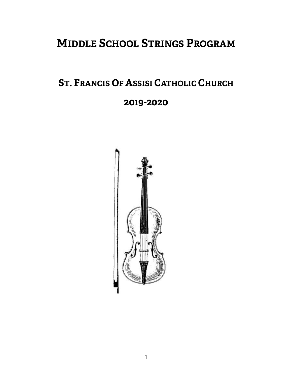# **MIDDLE SCHOOL STRINGS PROGRAM**

# **ST. FRANCIS OF ASSISI CATHOLIC CHURCH**

### **2019-2020**

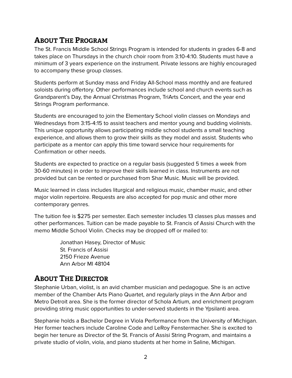### **ABOUT THE PROGRAM**

The St. Francis Middle School Strings Program is intended for students in grades 6-8 and takes place on Thursdays in the church choir room from 3:10-4:10. Students must have a minimum of 3 years experience on the instrument. Private lessons are highly encouraged to accompany these group classes.

Students perform at Sunday mass and Friday All-School mass monthly and are featured soloists during offertory. Other performances include school and church events such as Grandparent's Day, the Annual Christmas Program, TriArts Concert, and the year end Strings Program performance.

Students are encouraged to join the Elementary School violin classes on Mondays and Wednesdays from 3:15-4:15 to assist teachers and mentor young and budding violinists. This unique opportunity allows participating middle school students a small teaching experience, and allows them to grow their skills as they model and assist. Students who participate as a mentor can apply this time toward service hour requirements for Confirmation or other needs.

Students are expected to practice on a regular basis (suggested 5 times a week from 30-60 minutes) in order to improve their skills learned in class. Instruments are not provided but can be rented or purchased from Shar Music. Music will be provided.

Music learned in class includes liturgical and religious music, chamber music, and other major violin repertoire. Requests are also accepted for pop music and other more contemporary genres.

The tuition fee is \$275 per semester. Each semester includes 13 classes plus masses and other performances. Tuition can be made payable to St. Francis of Assisi Church with the memo Middle School Violin. Checks may be dropped off or mailed to:

> Jonathan Hasey, Director of Music St. Francis of Assisi 2150 Frieze Avenue Ann Arbor MI 48104

### **ABOUT THE DIRECTOR**

Stephanie Urban, violist, is an avid chamber musician and pedagogue. She is an active member of the Chamber Arts Piano Quartet, and regularly plays in the Ann Arbor and Metro Detroit area. She is the former director of Schola Artium, and enrichment program providing string music opportunities to under-served students in the Ypsilanti area.

Stephanie holds a Bachelor Degree in Viola Performance from the University of Michigan. Her former teachers include Caroline Code and LeRoy Fenstermacher. She is excited to begin her tenure as Director of the St. Francis of Assisi String Program, and maintains a private studio of violin, viola, and piano students at her home in Saline, Michigan.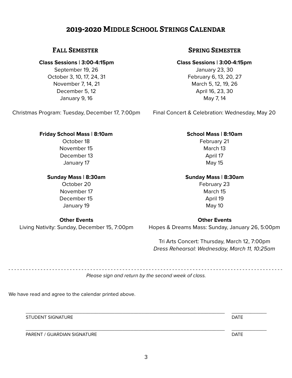### **2019-2020 MIDDLE SCHOOL STRINGS CALENDAR**

#### **Class Sessions | 3:00-4:15pm**

September 19, 26 October 3, 10, 17, 24, 31 November 7, 14, 21 December 5, 12 January 9, 16

Christmas Program: Tuesday, December 17, 7:00pm

#### **Friday School Mass | 8:10am**

October 18 November 15 December 13 January 17

#### **Sunday Mass | 8:30am**

October 20 November 17 December 15 January 19

#### **Other Events**

Living Nativity: Sunday, December 15, 7:00pm

### **FALL SEMESTER SPRING SEMESTER**

### **Class Sessions | 3:00-4:15pm**

January 23, 30 February 6, 13, 20, 27 March 5, 12, 19, 26 April 16, 23, 30 May 7, 14

Final Concert & Celebration: Wednesday, May 20

#### **School Mass | 8:10am**

February 21 March 13 April 17 May 15

#### **Sunday Mass | 8:30am**

February 23 March 15 April 19 May 10

#### **Other Events**

Hopes & Dreams Mass: Sunday, January 26, 5:00pm

Tri Arts Concert: Thursday, March 12, 7:00pm *Dress Rehearsal: Wednesday, March 11, 10:25am*

- - - - - - - - - - - - - - - - - - - - - - - - - - - - - - - - - - - - - - - - - - - - - - - - - - - - - - - - - - - - - - - - - - - - - - - - - - - - - - - - - - - - - - - - - - - - - -

*Please sign and return by the second week of class.* 

We have read and agree to the calendar printed above.

STUDENT SIGNATURE **External of the STUDENT SIGNATURE**  $\blacksquare$ 

PARENT / GUARDIAN SIGNATURE DATE DATE ON A SERVICE OF THE SERVICE OF THE DATE OF THE DATE

 $\overline{\phantom{a}}$  ,  $\overline{\phantom{a}}$  ,  $\overline{\phantom{a}}$  ,  $\overline{\phantom{a}}$  ,  $\overline{\phantom{a}}$  ,  $\overline{\phantom{a}}$  ,  $\overline{\phantom{a}}$  ,  $\overline{\phantom{a}}$  ,  $\overline{\phantom{a}}$  ,  $\overline{\phantom{a}}$  ,  $\overline{\phantom{a}}$  ,  $\overline{\phantom{a}}$  ,  $\overline{\phantom{a}}$  ,  $\overline{\phantom{a}}$  ,  $\overline{\phantom{a}}$  ,  $\overline{\phantom{a}}$ 

 $\overline{\phantom{a}}$  ,  $\overline{\phantom{a}}$  ,  $\overline{\phantom{a}}$  ,  $\overline{\phantom{a}}$  ,  $\overline{\phantom{a}}$  ,  $\overline{\phantom{a}}$  ,  $\overline{\phantom{a}}$  ,  $\overline{\phantom{a}}$  ,  $\overline{\phantom{a}}$  ,  $\overline{\phantom{a}}$  ,  $\overline{\phantom{a}}$  ,  $\overline{\phantom{a}}$  ,  $\overline{\phantom{a}}$  ,  $\overline{\phantom{a}}$  ,  $\overline{\phantom{a}}$  ,  $\overline{\phantom{a}}$